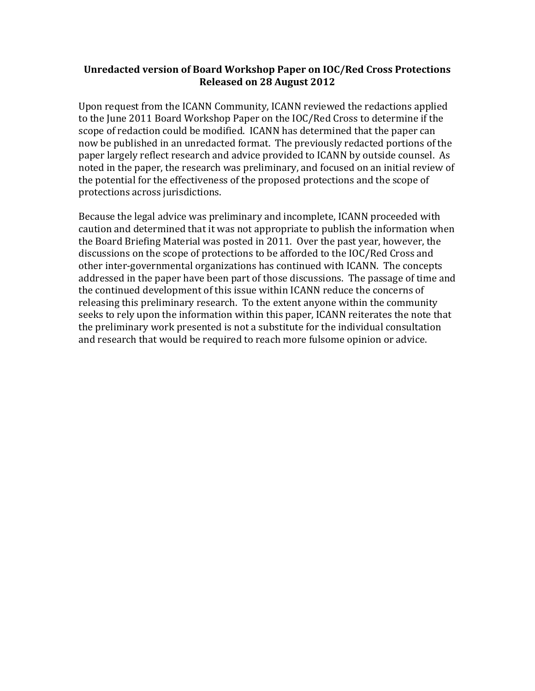#### Unredacted version of Board Workshop Paper on IOC/Red Cross Protections **Released on 28 August 2012**

Upon request from the ICANN Community, ICANN reviewed the redactions applied to the June 2011 Board Workshop Paper on the IOC/Red Cross to determine if the scope of redaction could be modified. ICANN has determined that the paper can now be published in an unredacted format. The previously redacted portions of the paper largely reflect research and advice provided to ICANN by outside counsel. As noted in the paper, the research was preliminary, and focused on an initial review of the potential for the effectiveness of the proposed protections and the scope of protections across jurisdictions.

Because the legal advice was preliminary and incomplete, ICANN proceeded with caution and determined that it was not appropriate to publish the information when the Board Briefing Material was posted in 2011. Over the past year, however, the discussions on the scope of protections to be afforded to the IOC/Red Cross and other inter-governmental organizations has continued with ICANN. The concepts addressed in the paper have been part of those discussions. The passage of time and the continued development of this issue within ICANN reduce the concerns of releasing this preliminary research. To the extent anyone within the community seeks to rely upon the information within this paper, ICANN reiterates the note that the preliminary work presented is not a substitute for the individual consultation and research that would be required to reach more fulsome opinion or advice.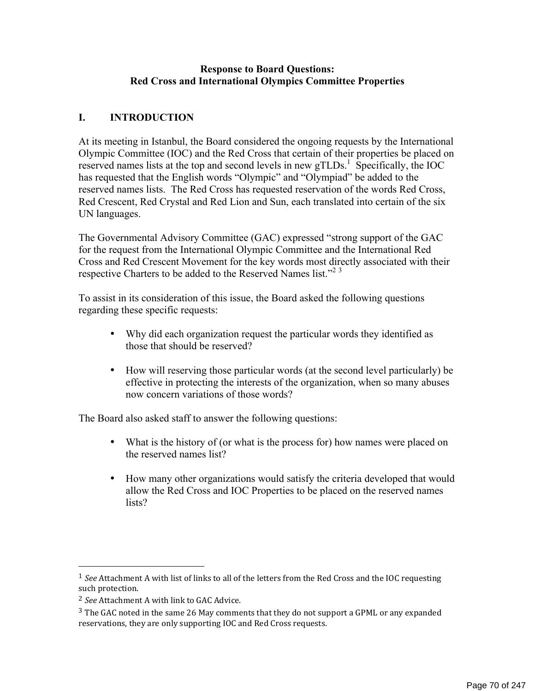#### **Response to Board Questions: Red Cross and International Olympics Committee Properties**

### **I. INTRODUCTION**

At its meeting in Istanbul, the Board considered the ongoing requests by the International Olympic Committee (IOC) and the Red Cross that certain of their properties be placed on reserved names lists at the top and second levels in new  $gTLDs$ <sup>1</sup>. Specifically, the IOC has requested that the English words "Olympic" and "Olympiad" be added to the reserved names lists. The Red Cross has requested reservation of the words Red Cross, Red Crescent, Red Crystal and Red Lion and Sun, each translated into certain of the six UN languages.

The Governmental Advisory Committee (GAC) expressed "strong support of the GAC for the request from the International Olympic Committee and the International Red Cross and Red Crescent Movement for the key words most directly associated with their respective Charters to be added to the Reserved Names list."<sup>23</sup>

To assist in its consideration of this issue, the Board asked the following questions regarding these specific requests:

- Why did each organization request the particular words they identified as those that should be reserved?
- How will reserving those particular words (at the second level particularly) be effective in protecting the interests of the organization, when so many abuses now concern variations of those words?

The Board also asked staff to answer the following questions:

- What is the history of (or what is the process for) how names were placed on the reserved names list?
- How many other organizations would satisfy the criteria developed that would allow the Red Cross and IOC Properties to be placed on the reserved names lists?

!!!!!!!!!!!!!!!!!!!!!!!!!!!!!!!!!!!!!!!!!!!!!!!!!!!!!!!

 $1$  *See* Attachment A with list of links to all of the letters from the Red Cross and the IOC requesting such protection.

<sup>&</sup>lt;sup>2</sup> See Attachment A with link to GAC Advice.

 $3$  The GAC noted in the same 26 May comments that they do not support a GPML or any expanded reservations, they are only supporting IOC and Red Cross requests.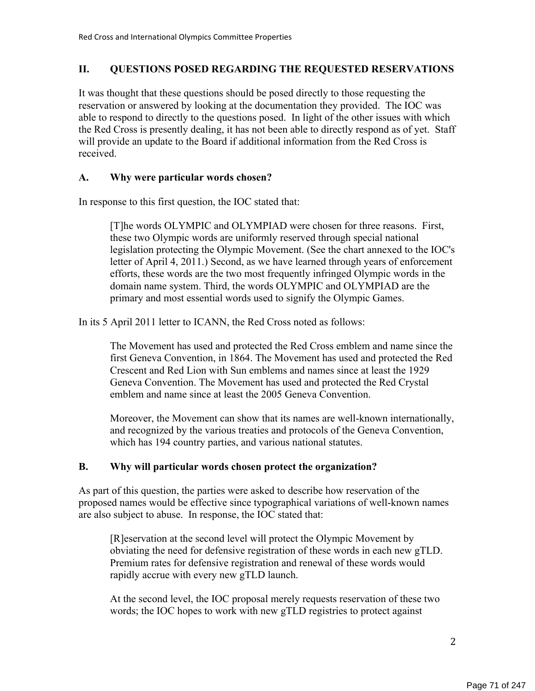### **II. QUESTIONS POSED REGARDING THE REQUESTED RESERVATIONS**

It was thought that these questions should be posed directly to those requesting the reservation or answered by looking at the documentation they provided. The IOC was able to respond to directly to the questions posed. In light of the other issues with which the Red Cross is presently dealing, it has not been able to directly respond as of yet. Staff will provide an update to the Board if additional information from the Red Cross is received.

#### **A. Why were particular words chosen?**

In response to this first question, the IOC stated that:

[T]he words OLYMPIC and OLYMPIAD were chosen for three reasons. First, these two Olympic words are uniformly reserved through special national legislation protecting the Olympic Movement. (See the chart annexed to the IOC's letter of April 4, 2011.) Second, as we have learned through years of enforcement efforts, these words are the two most frequently infringed Olympic words in the domain name system. Third, the words OLYMPIC and OLYMPIAD are the primary and most essential words used to signify the Olympic Games.

In its 5 April 2011 letter to ICANN, the Red Cross noted as follows:

The Movement has used and protected the Red Cross emblem and name since the first Geneva Convention, in 1864. The Movement has used and protected the Red Crescent and Red Lion with Sun emblems and names since at least the 1929 Geneva Convention. The Movement has used and protected the Red Crystal emblem and name since at least the 2005 Geneva Convention.

Moreover, the Movement can show that its names are well-known internationally, and recognized by the various treaties and protocols of the Geneva Convention, which has 194 country parties, and various national statutes.

#### **B. Why will particular words chosen protect the organization?**

As part of this question, the parties were asked to describe how reservation of the proposed names would be effective since typographical variations of well-known names are also subject to abuse. In response, the IOC stated that:

[R]eservation at the second level will protect the Olympic Movement by obviating the need for defensive registration of these words in each new gTLD. Premium rates for defensive registration and renewal of these words would rapidly accrue with every new gTLD launch.

At the second level, the IOC proposal merely requests reservation of these two words; the IOC hopes to work with new gTLD registries to protect against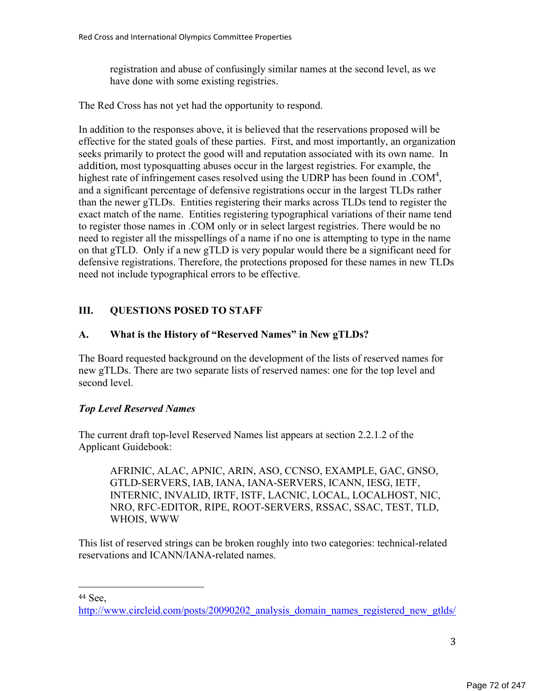registration and abuse of confusingly similar names at the second level, as we have done with some existing registries.

The Red Cross has not yet had the opportunity to respond.

In addition to the responses above, it is believed that the reservations proposed will be effective for the stated goals of these parties. First, and most importantly, an organization seeks primarily to protect the good will and reputation associated with its own name. In addition, most typosquatting abuses occur in the largest registries. For example, the highest rate of infringement cases resolved using the UDRP has been found in .COM<sup>4</sup>, and a significant percentage of defensive registrations occur in the largest TLDs rather than the newer gTLDs. Entities registering their marks across TLDs tend to register the exact match of the name. Entities registering typographical variations of their name tend to register those names in .COM only or in select largest registries. There would be no need to register all the misspellings of a name if no one is attempting to type in the name on that gTLD. Only if a new gTLD is very popular would there be a significant need for defensive registrations. Therefore, the protections proposed for these names in new TLDs need not include typographical errors to be effective.

# **III. QUESTIONS POSED TO STAFF**

#### **A. What is the History of "Reserved Names" in New gTLDs?**

The Board requested background on the development of the lists of reserved names for new gTLDs. There are two separate lists of reserved names: one for the top level and second level.

#### *Top Level Reserved Names*

!!!!!!!!!!!!!!!!!!!!!!!!!!!!!!!!!!!!!!!!!!!!!!!!!!!!!!!

The current draft top-level Reserved Names list appears at section 2.2.1.2 of the Applicant Guidebook:

AFRINIC, ALAC, APNIC, ARIN, ASO, CCNSO, EXAMPLE, GAC, GNSO, GTLD-SERVERS, IAB, IANA, IANA-SERVERS, ICANN, IESG, IETF, INTERNIC, INVALID, IRTF, ISTF, LACNIC, LOCAL, LOCALHOST, NIC, NRO, RFC-EDITOR, RIPE, ROOT-SERVERS, RSSAC, SSAC, TEST, TLD, WHOIS, WWW

This list of reserved strings can be broken roughly into two categories: technical-related reservations and ICANN/IANA-related names.

<sup>44</sup> See,

http://www.circleid.com/posts/20090202\_analysis\_domain\_names\_registered\_new\_gtlds/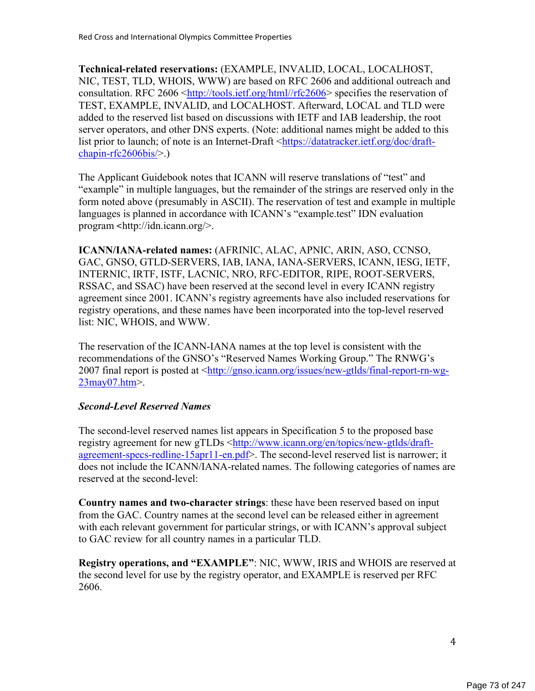**Technical-related reservations:** (EXAMPLE, INVALID, LOCAL, LOCALHOST, NIC, TEST, TLD, WHOIS, WWW) are based on RFC 2606 and additional outreach and consultation. RFC 2606 <http://tools.ietf.org/html//rfc2606> specifies the reservation of TEST, EXAMPLE, INVALID, and LOCALHOST. Afterward, LOCAL and TLD were added to the reserved list based on discussions with IETF and IAB leadership, the root server operators, and other DNS experts. (Note: additional names might be added to this list prior to launch; of note is an Internet-Draft <https://datatracker.ietf.org/doc/draftchapin-rfc2606bis/>.)

The Applicant Guidebook notes that ICANN will reserve translations of "test" and "example" in multiple languages, but the remainder of the strings are reserved only in the form noted above (presumably in ASCII). The reservation of test and example in multiple languages is planned in accordance with ICANN's "example.test" IDN evaluation program <http://idn.icann.org/>.

**ICANN/IANA-related names:** (AFRINIC, ALAC, APNIC, ARIN, ASO, CCNSO, GAC, GNSO, GTLD-SERVERS, IAB, IANA, IANA-SERVERS, ICANN, IESG, IETF, INTERNIC, IRTF, ISTF, LACNIC, NRO, RFC-EDITOR, RIPE, ROOT-SERVERS, RSSAC, and SSAC) have been reserved at the second level in every ICANN registry agreement since 2001. ICANN's registry agreements have also included reservations for registry operations, and these names have been incorporated into the top-level reserved list: NIC, WHOIS, and WWW.

The reservation of the ICANN-IANA names at the top level is consistent with the recommendations of the GNSO's "Reserved Names Working Group." The RNWG's 2007 final report is posted at <http://gnso.icann.org/issues/new-gtlds/final-report-rn-wg-23may07.htm>.

#### *Second-Level Reserved Names*

The second-level reserved names list appears in Specification 5 to the proposed base registry agreement for new gTLDs <http://www.icann.org/en/topics/new-gtlds/draftagreement-specs-redline-15apr11-en.pdf>. The second-level reserved list is narrower; it does not include the ICANN/IANA-related names. The following categories of names are reserved at the second-level:

**Country names and two-character strings**: these have been reserved based on input from the GAC. Country names at the second level can be released either in agreement with each relevant government for particular strings, or with ICANN's approval subject to GAC review for all country names in a particular TLD.

**Registry operations, and "EXAMPLE"**: NIC, WWW, IRIS and WHOIS are reserved at the second level for use by the registry operator, and EXAMPLE is reserved per RFC 2606.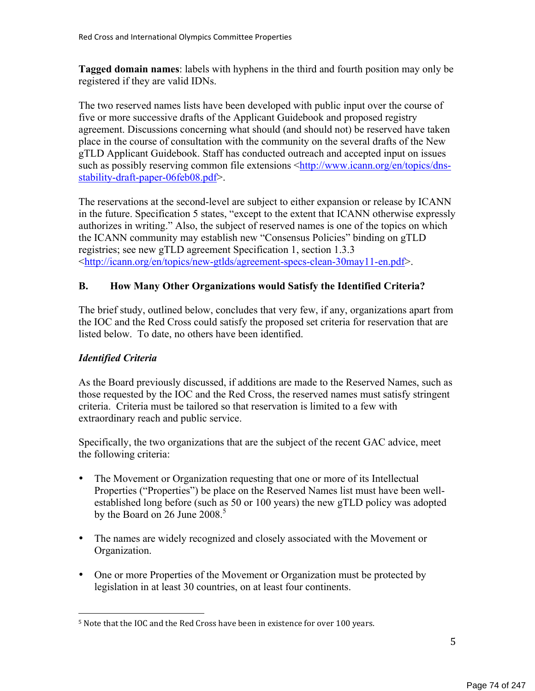**Tagged domain names**: labels with hyphens in the third and fourth position may only be registered if they are valid IDNs.

The two reserved names lists have been developed with public input over the course of five or more successive drafts of the Applicant Guidebook and proposed registry agreement. Discussions concerning what should (and should not) be reserved have taken place in the course of consultation with the community on the several drafts of the New gTLD Applicant Guidebook. Staff has conducted outreach and accepted input on issues such as possibly reserving common file extensions <http://www.icann.org/en/topics/dnsstability-draft-paper-06feb08.pdf>.

The reservations at the second-level are subject to either expansion or release by ICANN in the future. Specification 5 states, "except to the extent that ICANN otherwise expressly authorizes in writing." Also, the subject of reserved names is one of the topics on which the ICANN community may establish new "Consensus Policies" binding on gTLD registries; see new gTLD agreement Specification 1, section 1.3.3 <http://icann.org/en/topics/new-gtlds/agreement-specs-clean-30may11-en.pdf>.

#### **B. How Many Other Organizations would Satisfy the Identified Criteria?**

The brief study, outlined below, concludes that very few, if any, organizations apart from the IOC and the Red Cross could satisfy the proposed set criteria for reservation that are listed below. To date, no others have been identified.

#### *Identified Criteria*

!!!!!!!!!!!!!!!!!!!!!!!!!!!!!!!!!!!!!!!!!!!!!!!!!!!!!!!

As the Board previously discussed, if additions are made to the Reserved Names, such as those requested by the IOC and the Red Cross, the reserved names must satisfy stringent criteria. Criteria must be tailored so that reservation is limited to a few with extraordinary reach and public service.

Specifically, the two organizations that are the subject of the recent GAC advice, meet the following criteria:

- The Movement or Organization requesting that one or more of its Intellectual Properties ("Properties") be place on the Reserved Names list must have been wellestablished long before (such as 50 or 100 years) the new gTLD policy was adopted by the Board on 26 June 2008. $^5$
- The names are widely recognized and closely associated with the Movement or Organization.
- One or more Properties of the Movement or Organization must be protected by legislation in at least 30 countries, on at least four continents.

<sup>&</sup>lt;sup>5</sup> Note that the IOC and the Red Cross have been in existence for over 100 years.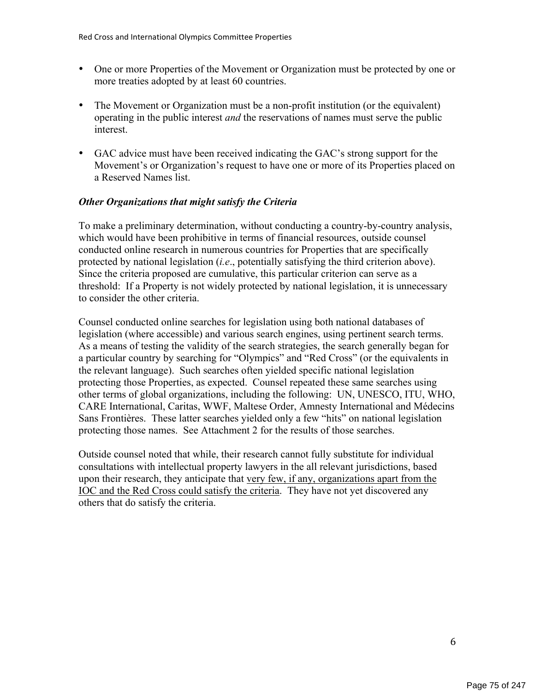- One or more Properties of the Movement or Organization must be protected by one or more treaties adopted by at least 60 countries.
- The Movement or Organization must be a non-profit institution (or the equivalent) operating in the public interest *and* the reservations of names must serve the public interest.
- GAC advice must have been received indicating the GAC's strong support for the Movement's or Organization's request to have one or more of its Properties placed on a Reserved Names list.

#### *Other Organizations that might satisfy the Criteria*

To make a preliminary determination, without conducting a country-by-country analysis, which would have been prohibitive in terms of financial resources, outside counsel conducted online research in numerous countries for Properties that are specifically protected by national legislation (*i.e*., potentially satisfying the third criterion above). Since the criteria proposed are cumulative, this particular criterion can serve as a threshold: If a Property is not widely protected by national legislation, it is unnecessary to consider the other criteria.

Counsel conducted online searches for legislation using both national databases of legislation (where accessible) and various search engines, using pertinent search terms. As a means of testing the validity of the search strategies, the search generally began for a particular country by searching for "Olympics" and "Red Cross" (or the equivalents in the relevant language). Such searches often yielded specific national legislation protecting those Properties, as expected. Counsel repeated these same searches using other terms of global organizations, including the following: UN, UNESCO, ITU, WHO, CARE International, Caritas, WWF, Maltese Order, Amnesty International and Médecins Sans Frontières. These latter searches yielded only a few "hits" on national legislation protecting those names. See Attachment 2 for the results of those searches.

Outside counsel noted that while, their research cannot fully substitute for individual consultations with intellectual property lawyers in the all relevant jurisdictions, based upon their research, they anticipate that very few, if any, organizations apart from the IOC and the Red Cross could satisfy the criteria. They have not yet discovered any others that do satisfy the criteria.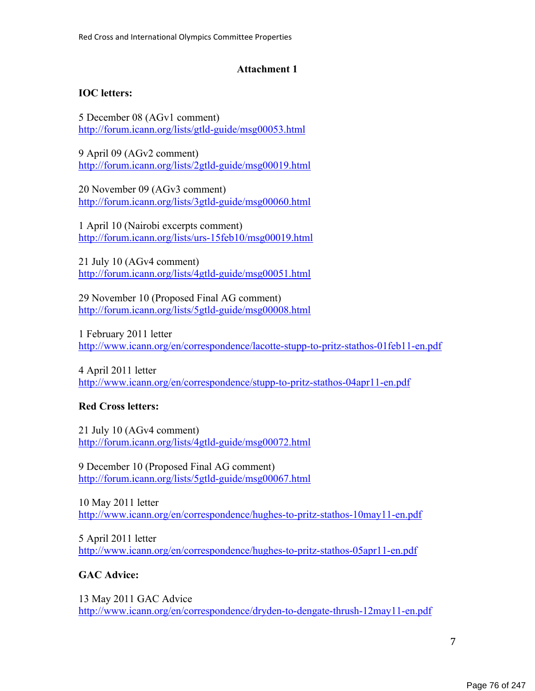### **Attachment 1**

### **IOC letters:**

5 December 08 (AGv1 comment) http://forum.icann.org/lists/gtld-guide/msg00053.html

9 April 09 (AGv2 comment) http://forum.icann.org/lists/2gtld-guide/msg00019.html

20 November 09 (AGv3 comment) http://forum.icann.org/lists/3gtld-guide/msg00060.html

1 April 10 (Nairobi excerpts comment) http://forum.icann.org/lists/urs-15feb10/msg00019.html

21 July 10 (AGv4 comment) http://forum.icann.org/lists/4gtld-guide/msg00051.html

29 November 10 (Proposed Final AG comment) http://forum.icann.org/lists/5gtld-guide/msg00008.html

1 February 2011 letter http://www.icann.org/en/correspondence/lacotte-stupp-to-pritz-stathos-01feb11-en.pdf

4 April 2011 letter http://www.icann.org/en/correspondence/stupp-to-pritz-stathos-04apr11-en.pdf

# **Red Cross letters:**

21 July 10 (AGv4 comment) http://forum.icann.org/lists/4gtld-guide/msg00072.html

9 December 10 (Proposed Final AG comment) http://forum.icann.org/lists/5gtld-guide/msg00067.html

10 May 2011 letter http://www.icann.org/en/correspondence/hughes-to-pritz-stathos-10may11-en.pdf

5 April 2011 letter http://www.icann.org/en/correspondence/hughes-to-pritz-stathos-05apr11-en.pdf

# **GAC Advice:**

13 May 2011 GAC Advice http://www.icann.org/en/correspondence/dryden-to-dengate-thrush-12may11-en.pdf

7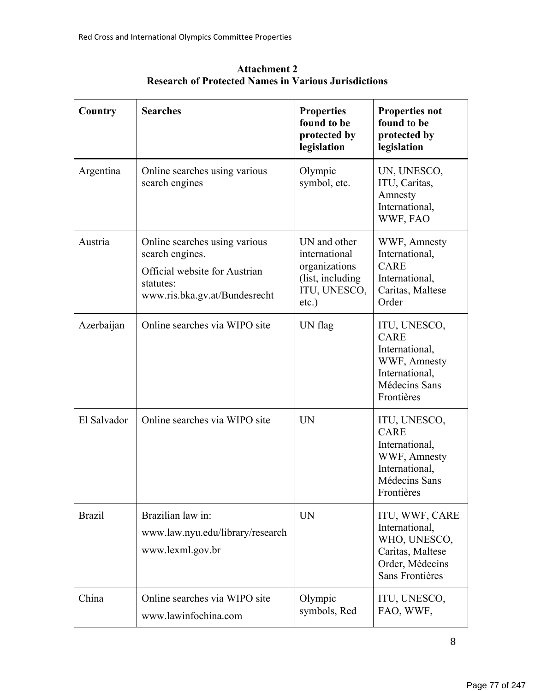| Country       | <b>Searches</b>                                                                                                                 | <b>Properties</b><br>found to be<br>protected by<br>legislation                                 | <b>Properties not</b><br>found to be<br>protected by<br>legislation                                            |
|---------------|---------------------------------------------------------------------------------------------------------------------------------|-------------------------------------------------------------------------------------------------|----------------------------------------------------------------------------------------------------------------|
| Argentina     | Online searches using various<br>search engines                                                                                 | Olympic<br>symbol, etc.                                                                         | UN, UNESCO,<br>ITU, Caritas,<br>Amnesty<br>International,<br>WWF, FAO                                          |
| Austria       | Online searches using various<br>search engines.<br>Official website for Austrian<br>statutes:<br>www.ris.bka.gv.at/Bundesrecht | UN and other<br>international<br>organizations<br>(list, including)<br>ITU, UNESCO,<br>$etc.$ ) | WWF, Amnesty<br>International,<br><b>CARE</b><br>International,<br>Caritas, Maltese<br>Order                   |
| Azerbaijan    | Online searches via WIPO site                                                                                                   | UN flag                                                                                         | ITU, UNESCO,<br><b>CARE</b><br>International,<br>WWF, Amnesty<br>International,<br>Médecins Sans<br>Frontières |
| El Salvador   | Online searches via WIPO site                                                                                                   | UN                                                                                              | ITU, UNESCO,<br><b>CARE</b><br>International,<br>WWF, Amnesty<br>International,<br>Médecins Sans<br>Frontières |
| <b>Brazil</b> | Brazilian law in:<br>www.law.nyu.edu/library/research<br>www.lexml.gov.br                                                       | <b>UN</b>                                                                                       | ITU, WWF, CARE<br>International,<br>WHO, UNESCO,<br>Caritas, Maltese<br>Order, Médecins<br>Sans Frontières     |
| China         | Online searches via WIPO site<br>www.lawinfochina.com                                                                           | Olympic<br>symbols, Red                                                                         | ITU, UNESCO,<br>FAO, WWF,                                                                                      |

**Attachment 2 Research of Protected Names in Various Jurisdictions**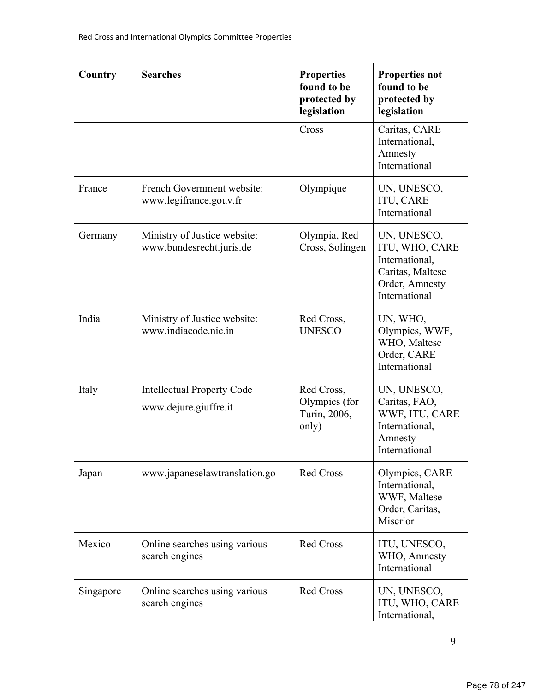| Country   | <b>Searches</b>                                            | <b>Properties</b><br>found to be<br>protected by<br>legislation | <b>Properties not</b><br>found to be<br>protected by<br>legislation                                    |
|-----------|------------------------------------------------------------|-----------------------------------------------------------------|--------------------------------------------------------------------------------------------------------|
|           |                                                            | Cross                                                           | Caritas, CARE<br>International,<br>Amnesty<br>International                                            |
| France    | French Government website:<br>www.legifrance.gouv.fr       | Olympique                                                       | UN, UNESCO,<br><b>ITU, CARE</b><br>International                                                       |
| Germany   | Ministry of Justice website:<br>www.bundesrecht.juris.de   | Olympia, Red<br>Cross, Solingen                                 | UN, UNESCO,<br>ITU, WHO, CARE<br>International,<br>Caritas, Maltese<br>Order, Amnesty<br>International |
| India     | Ministry of Justice website:<br>www.indiacode.nic.in       | Red Cross,<br><b>UNESCO</b>                                     | UN, WHO,<br>Olympics, WWF,<br>WHO, Maltese<br>Order, CARE<br>International                             |
| Italy     | <b>Intellectual Property Code</b><br>www.dejure.giuffre.it | Red Cross,<br>Olympics (for<br>Turin, 2006,<br>only)            | UN, UNESCO,<br>Caritas, FAO,<br>WWF, ITU, CARE<br>International,<br>Amnesty<br>International           |
| Japan     | www.japaneselawtranslation.go                              | Red Cross                                                       | Olympics, CARE<br>International,<br>WWF, Maltese<br>Order, Caritas,<br>Miserior                        |
| Mexico    | Online searches using various<br>search engines            | <b>Red Cross</b>                                                | ITU, UNESCO,<br>WHO, Amnesty<br>International                                                          |
| Singapore | Online searches using various<br>search engines            | <b>Red Cross</b>                                                | UN, UNESCO,<br>ITU, WHO, CARE<br>International,                                                        |